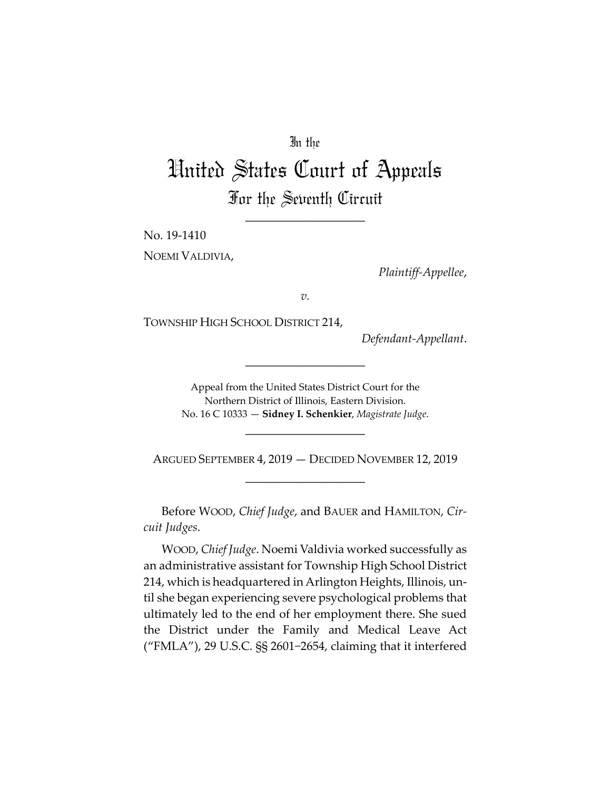## In the

## United States Court of Appeals For the Seventh Circuit

\_\_\_\_\_\_\_\_\_\_\_\_\_\_\_\_\_\_\_\_

No. 19‐1410

NOEMI VALDIVIA,

*Plaintiff‐Appellee*,

*v.*

TOWNSHIP HIGH SCHOOL DISTRICT 214,

*Defendant‐Appellant*.

Appeal from the United States District Court for the Northern District of Illinois, Eastern Division. No. 16 C 10333 — **Sidney I. Schenkier**, *Magistrate Judge*.

\_\_\_\_\_\_\_\_\_\_\_\_\_\_\_\_\_\_\_\_

ARGUED SEPTEMBER 4, 2019 — DECIDED NOVEMBER 12, 2019 \_\_\_\_\_\_\_\_\_\_\_\_\_\_\_\_\_\_\_\_

\_\_\_\_\_\_\_\_\_\_\_\_\_\_\_\_\_\_\_\_

Before WOOD, *Chief Judge*, and BAUER and HAMILTON, *Cir‐ cuit Judges*.

WOOD, *Chief Judge*. Noemi Valdivia worked successfully as an administrative assistant for Township High School District 214, which is headquartered in Arlington Heights, Illinois, un‐ til she began experiencing severe psychological problems that ultimately led to the end of her employment there. She sued the District under the Family and Medical Leave Act ("FMLA"), 29 U.S.C. §§ 2601−2654, claiming that it interfered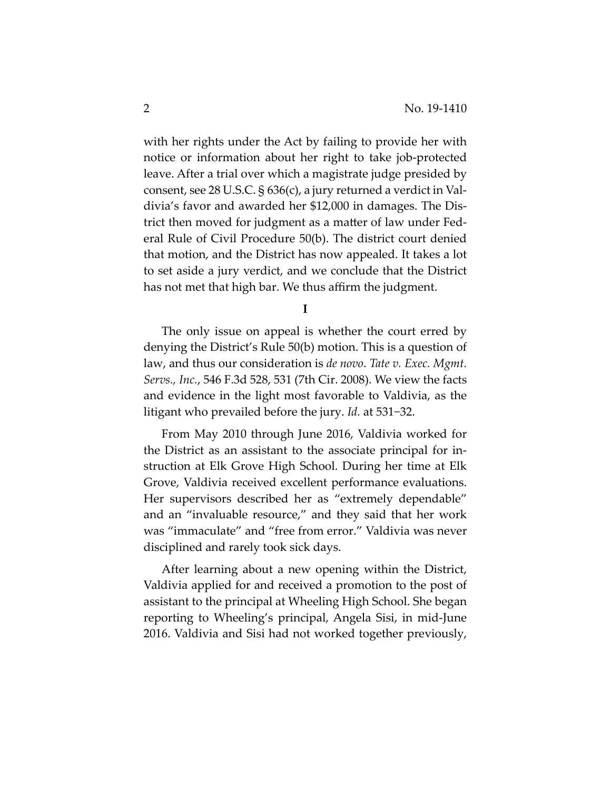with her rights under the Act by failing to provide her with notice or information about her right to take job‐protected leave. After a trial over which a magistrate judge presided by consent, see 28 U.S.C. § 636(c), a jury returned a verdict in Val‐ divia's favor and awarded her \$12,000 in damages. The Dis‐ trict then moved for judgment as a matter of law under Fed‐ eral Rule of Civil Procedure 50(b). The district court denied that motion, and the District has now appealed. It takes a lot to set aside a jury verdict, and we conclude that the District has not met that high bar. We thus affirm the judgment.

**I**

The only issue on appeal is whether the court erred by denying the District's Rule 50(b) motion. This is a question of law, and thus our consideration is *de novo*. *Tate v. Exec. Mgmt. Servs., Inc.*, 546 F.3d 528, 531 (7th Cir. 2008). We view the facts and evidence in the light most favorable to Valdivia, as the litigant who prevailed before the jury. *Id.* at 531−32.

From May 2010 through June 2016, Valdivia worked for the District as an assistant to the associate principal for in‐ struction at Elk Grove High School. During her time at Elk Grove, Valdivia received excellent performance evaluations. Her supervisors described her as "extremely dependable" and an "invaluable resource," and they said that her work was "immaculate" and "free from error." Valdivia was never disciplined and rarely took sick days.

After learning about a new opening within the District, Valdivia applied for and received a promotion to the post of assistant to the principal at Wheeling High School. She began reporting to Wheeling's principal, Angela Sisi, in mid‐June 2016. Valdivia and Sisi had not worked together previously,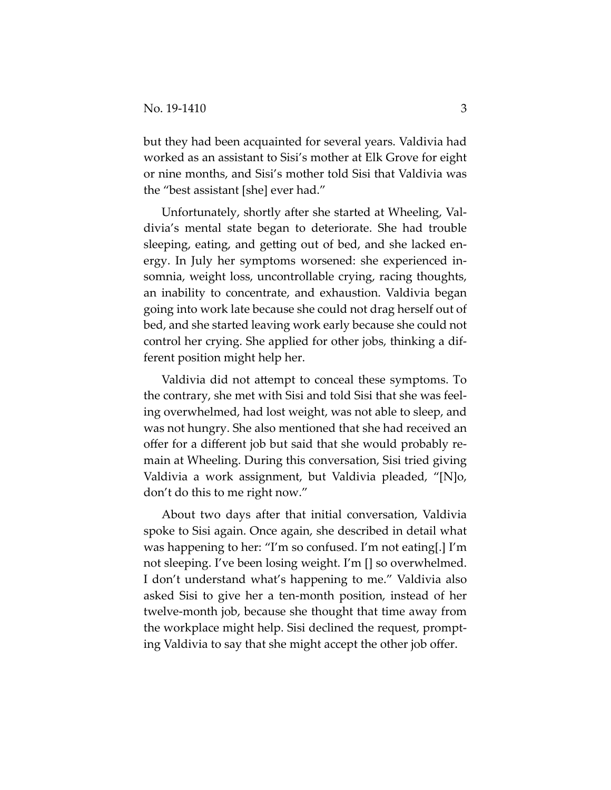but they had been acquainted for several years. Valdivia had worked as an assistant to Sisi's mother at Elk Grove for eight or nine months, and Sisi's mother told Sisi that Valdivia was the "best assistant [she] ever had."

Unfortunately, shortly after she started at Wheeling, Val‐ divia's mental state began to deteriorate. She had trouble sleeping, eating, and getting out of bed, and she lacked en‐ ergy. In July her symptoms worsened: she experienced in‐ somnia, weight loss, uncontrollable crying, racing thoughts, an inability to concentrate, and exhaustion. Valdivia began going into work late because she could not drag herself out of bed, and she started leaving work early because she could not control her crying. She applied for other jobs, thinking a dif‐ ferent position might help her.

Valdivia did not attempt to conceal these symptoms. To the contrary, she met with Sisi and told Sisi that she was feel‐ ing overwhelmed, had lost weight, was not able to sleep, and was not hungry. She also mentioned that she had received an offer for a different job but said that she would probably re‐ main at Wheeling. During this conversation, Sisi tried giving Valdivia a work assignment, but Valdivia pleaded, "[N]o, don't do this to me right now."

About two days after that initial conversation, Valdivia spoke to Sisi again. Once again, she described in detail what was happening to her: "I'm so confused. I'm not eating[.] I'm not sleeping. I've been losing weight. I'm [] so overwhelmed. I don't understand what's happening to me." Valdivia also asked Sisi to give her a ten‐month position, instead of her twelve‐month job, because she thought that time away from the workplace might help. Sisi declined the request, prompt‐ ing Valdivia to say that she might accept the other job offer.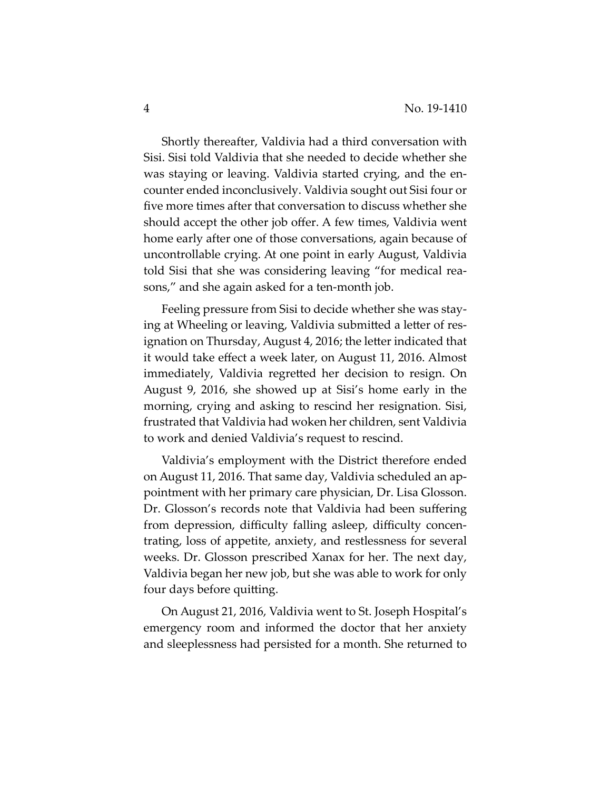Shortly thereafter, Valdivia had a third conversation with Sisi. Sisi told Valdivia that she needed to decide whether she was staying or leaving. Valdivia started crying, and the en‐ counter ended inconclusively. Valdivia sought out Sisi four or five more times after that conversation to discuss whether she should accept the other job offer. A few times, Valdivia went home early after one of those conversations, again because of uncontrollable crying. At one point in early August, Valdivia told Sisi that she was considering leaving "for medical rea‐ sons," and she again asked for a ten‐month job.

Feeling pressure from Sisi to decide whether she was stay‐ ing at Wheeling or leaving, Valdivia submitted a letter of res‐ ignation on Thursday, August 4, 2016; the letter indicated that it would take effect a week later, on August 11, 2016. Almost immediately, Valdivia regretted her decision to resign. On August 9, 2016, she showed up at Sisi's home early in the morning, crying and asking to rescind her resignation. Sisi, frustrated that Valdivia had woken her children, sent Valdivia to work and denied Valdivia's request to rescind.

Valdivia's employment with the District therefore ended on August 11, 2016. That same day, Valdivia scheduled an ap‐ pointment with her primary care physician, Dr. Lisa Glosson. Dr. Glosson's records note that Valdivia had been suffering from depression, difficulty falling asleep, difficulty concen‐ trating, loss of appetite, anxiety, and restlessness for several weeks. Dr. Glosson prescribed Xanax for her. The next day, Valdivia began her new job, but she was able to work for only four days before quitting.

On August 21, 2016, Valdivia went to St. Joseph Hospital's emergency room and informed the doctor that her anxiety and sleeplessness had persisted for a month. She returned to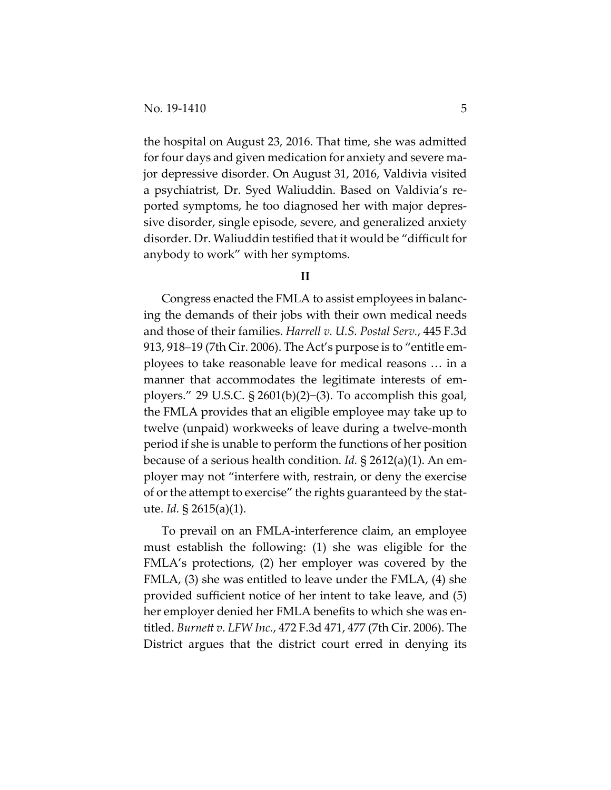the hospital on August 23, 2016. That time, she was admitted for four days and given medication for anxiety and severe major depressive disorder. On August 31, 2016, Valdivia visited a psychiatrist, Dr. Syed Waliuddin. Based on Valdivia's re‐ ported symptoms, he too diagnosed her with major depres‐ sive disorder, single episode, severe, and generalized anxiety disorder. Dr. Waliuddin testified that it would be "difficult for anybody to work" with her symptoms.

## **II**

Congress enacted the FMLA to assist employees in balanc‐ ing the demands of their jobs with their own medical needs and those of their families. *Harrell v. U.S. Postal Serv.*, 445 F.3d 913, 918–19 (7th Cir. 2006). The Act's purpose is to "entitle em‐ ployees to take reasonable leave for medical reasons … in a manner that accommodates the legitimate interests of employers." 29 U.S.C. § 2601(b)(2)−(3). To accomplish this goal, the FMLA provides that an eligible employee may take up to twelve (unpaid) workweeks of leave during a twelve‐month period if she is unable to perform the functions of her position because of a serious health condition. *Id.* § 2612(a)(1). An em‐ ployer may not "interfere with, restrain, or deny the exercise of or the attempt to exercise" the rights guaranteed by the statute. *Id.* § 2615(a)(1).

To prevail on an FMLA‐interference claim, an employee must establish the following: (1) she was eligible for the FMLA's protections, (2) her employer was covered by the FMLA, (3) she was entitled to leave under the FMLA, (4) she provided sufficient notice of her intent to take leave, and (5) her employer denied her FMLA benefits to which she was en‐ titled. *Burnett v. LFW Inc.*, 472 F.3d 471, 477 (7th Cir. 2006). The District argues that the district court erred in denying its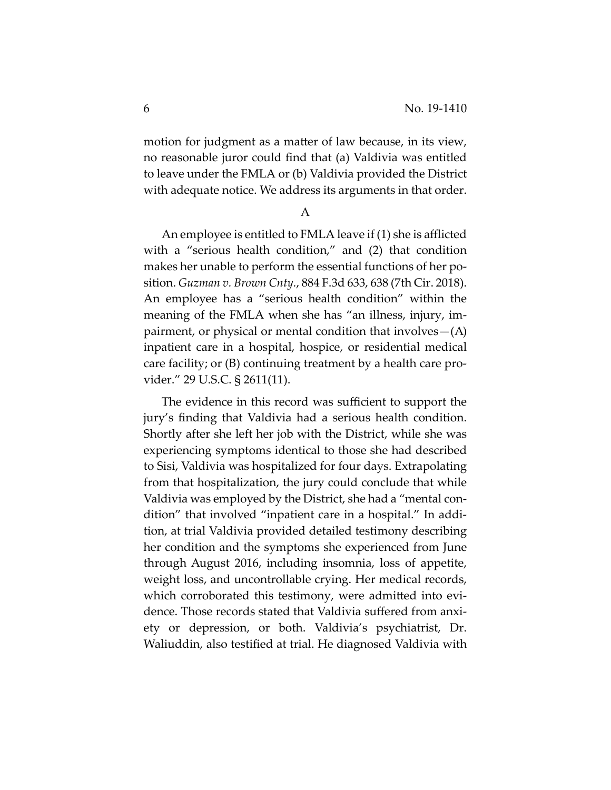motion for judgment as a matter of law because, in its view, no reasonable juror could find that (a) Valdivia was entitled to leave under the FMLA or (b) Valdivia provided the District with adequate notice. We address its arguments in that order.

A

An employee is entitled to FMLA leave if (1) she is afflicted with a "serious health condition," and (2) that condition makes her unable to perform the essential functions of her po‐ sition. *Guzman v. Brown Cnty.*, 884 F.3d 633, 638 (7th Cir. 2018). An employee has a "serious health condition" within the meaning of the FMLA when she has "an illness, injury, im‐ pairment, or physical or mental condition that involves—(A) inpatient care in a hospital, hospice, or residential medical care facility; or (B) continuing treatment by a health care pro‐ vider." 29 U.S.C. § 2611(11).

The evidence in this record was sufficient to support the jury's finding that Valdivia had a serious health condition. Shortly after she left her job with the District, while she was experiencing symptoms identical to those she had described to Sisi, Valdivia was hospitalized for four days. Extrapolating from that hospitalization, the jury could conclude that while Valdivia was employed by the District, she had a "mental con‐ dition" that involved "inpatient care in a hospital." In addi‐ tion, at trial Valdivia provided detailed testimony describing her condition and the symptoms she experienced from June through August 2016, including insomnia, loss of appetite, weight loss, and uncontrollable crying. Her medical records, which corroborated this testimony, were admitted into evidence. Those records stated that Valdivia suffered from anxi‐ ety or depression, or both. Valdivia's psychiatrist, Dr. Waliuddin, also testified at trial. He diagnosed Valdivia with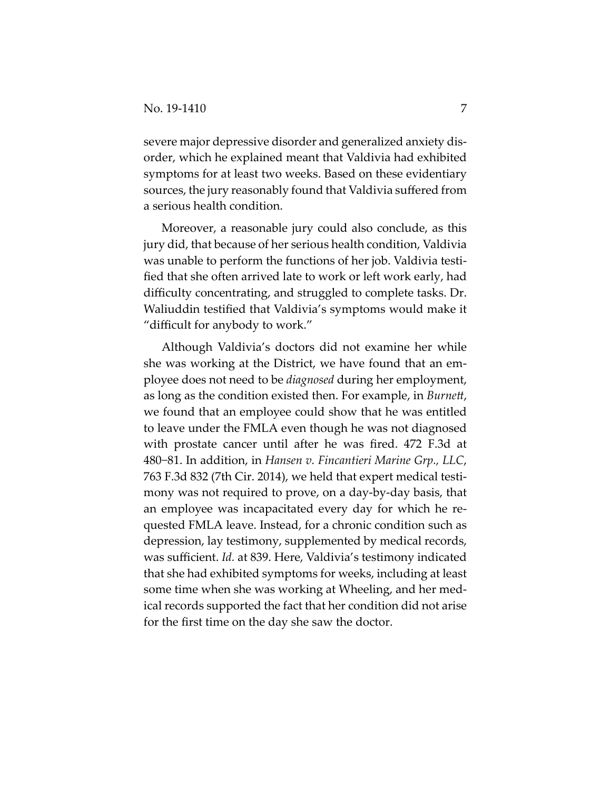severe major depressive disorder and generalized anxiety dis‐ order, which he explained meant that Valdivia had exhibited symptoms for at least two weeks. Based on these evidentiary sources, the jury reasonably found that Valdivia suffered from a serious health condition.

Moreover, a reasonable jury could also conclude, as this jury did, that because of her serious health condition, Valdivia was unable to perform the functions of her job. Valdivia testi‐ fied that she often arrived late to work or left work early, had difficulty concentrating, and struggled to complete tasks. Dr. Waliuddin testified that Valdivia's symptoms would make it "difficult for anybody to work."

Although Valdivia's doctors did not examine her while she was working at the District, we have found that an em‐ ployee does not need to be *diagnosed* during her employment, as long as the condition existed then. For example, in *Burnett*, we found that an employee could show that he was entitled to leave under the FMLA even though he was not diagnosed with prostate cancer until after he was fired. 472 F.3d at 480−81. In addition, in *Hansen v. Fincantieri Marine Grp., LLC*, 763 F.3d 832 (7th Cir. 2014), we held that expert medical testi‐ mony was not required to prove, on a day‐by‐day basis, that an employee was incapacitated every day for which he re‐ quested FMLA leave. Instead, for a chronic condition such as depression, lay testimony, supplemented by medical records, was sufficient. *Id.* at 839. Here, Valdivia's testimony indicated that she had exhibited symptoms for weeks, including at least some time when she was working at Wheeling, and her med‐ ical records supported the fact that her condition did not arise for the first time on the day she saw the doctor.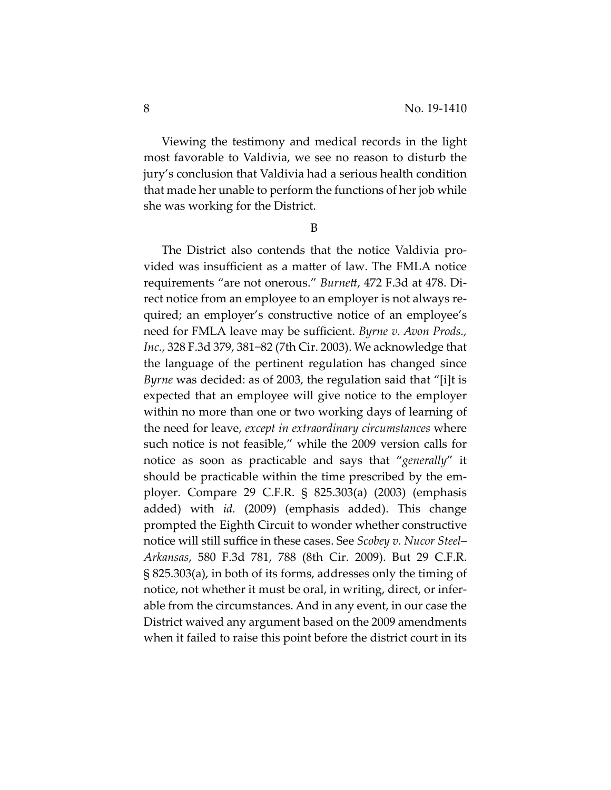Viewing the testimony and medical records in the light most favorable to Valdivia, we see no reason to disturb the jury's conclusion that Valdivia had a serious health condition that made her unable to perform the functions of herjob while she was working for the District.

B

The District also contends that the notice Valdivia pro‐ vided was insufficient as a matter of law. The FMLA notice requirements "are not onerous." *Burnett*, 472 F.3d at 478. Di‐ rect notice from an employee to an employer is not always re‐ quired; an employer's constructive notice of an employee's need for FMLA leave may be sufficient. *Byrne v. Avon Prods., Inc.*, 328 F.3d 379, 381−82 (7th Cir. 2003). We acknowledge that the language of the pertinent regulation has changed since *Byrne* was decided: as of 2003, the regulation said that "[i]t is expected that an employee will give notice to the employer within no more than one or two working days of learning of the need for leave, *except in extraordinary circumstances* where such notice is not feasible," while the 2009 version calls for notice as soon as practicable and says that "*generally*" it should be practicable within the time prescribed by the em‐ ployer. Compare 29 C.F.R. § 825.303(a) (2003) (emphasis added) with *id.* (2009) (emphasis added). This change prompted the Eighth Circuit to wonder whether constructive notice will still suffice in these cases. See *Scobey v. Nucor Steel– Arkansas*, 580 F.3d 781, 788 (8th Cir. 2009). But 29 C.F.R. § 825.303(a), in both of its forms, addresses only the timing of notice, not whether it must be oral, in writing, direct, or infer‐ able from the circumstances. And in any event, in our case the District waived any argument based on the 2009 amendments when it failed to raise this point before the district court in its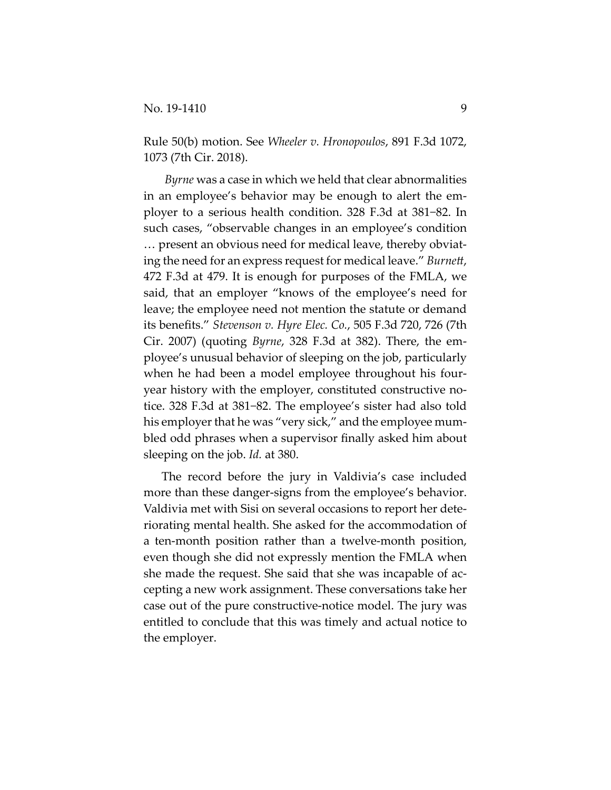Rule 50(b) motion. See *Wheeler v. Hronopoulos*, 891 F.3d 1072, 1073 (7th Cir. 2018).

*Byrne* was a case in which we held that clear abnormalities in an employee's behavior may be enough to alert the em‐ ployer to a serious health condition. 328 F.3d at 381−82. In such cases, "observable changes in an employee's condition … present an obvious need for medical leave, thereby obviat‐ ing the need for an express request for medical leave." *Burnett*, 472 F.3d at 479. It is enough for purposes of the FMLA, we said, that an employer "knows of the employee's need for leave; the employee need not mention the statute or demand its benefits." *Stevenson v. Hyre Elec. Co.*, 505 F.3d 720, 726 (7th Cir. 2007) (quoting *Byrne*, 328 F.3d at 382). There, the em‐ ployee's unusual behavior of sleeping on the job, particularly when he had been a model employee throughout his fouryear history with the employer, constituted constructive no‐ tice. 328 F.3d at 381−82. The employee's sister had also told his employer that he was "very sick," and the employee mumbled odd phrases when a supervisor finally asked him about sleeping on the job. *Id.* at 380.

The record before the jury in Valdivia's case included more than these danger‐signs from the employee's behavior. Valdivia met with Sisi on several occasions to report her dete‐ riorating mental health. She asked for the accommodation of a ten‐month position rather than a twelve‐month position, even though she did not expressly mention the FMLA when she made the request. She said that she was incapable of accepting a new work assignment. These conversations take her case out of the pure constructive‐notice model. The jury was entitled to conclude that this was timely and actual notice to the employer.